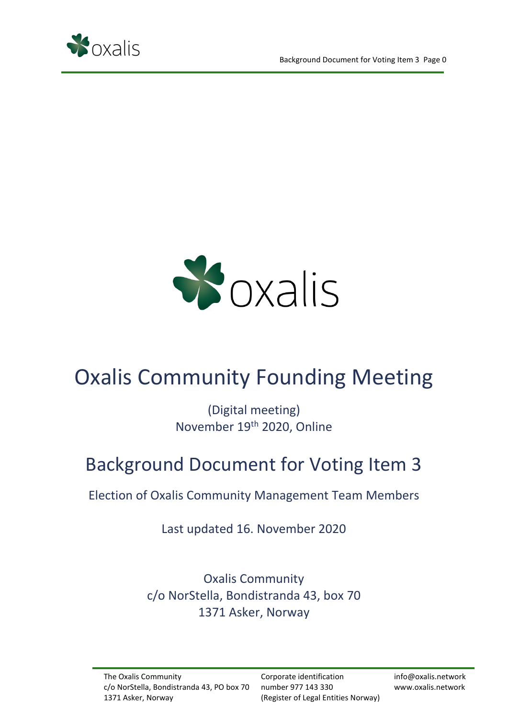



# Oxalis Community Founding Meeting

(Digital meeting) November 19th 2020, Online

## Background Document for Voting Item 3

Election of Oxalis Community Management Team Members

Last updated 16. November 2020

Oxalis Community c/o NorStella, Bondistranda 43, box 70 1371 Asker, Norway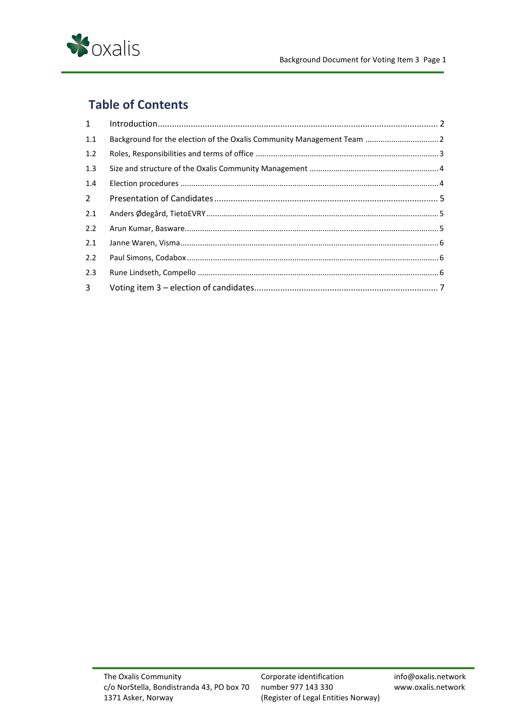

## **Table of Contents**

| 1              |                                                                        |  |
|----------------|------------------------------------------------------------------------|--|
| 1.1            | Background for the election of the Oxalis Community Management Team  2 |  |
| 1.2            |                                                                        |  |
| 1.3            |                                                                        |  |
| 1.4            |                                                                        |  |
| $2^{\circ}$    |                                                                        |  |
| 2.1            |                                                                        |  |
| 2.2            |                                                                        |  |
| 2.1            |                                                                        |  |
| 2.2            |                                                                        |  |
| 2.3            |                                                                        |  |
| 3 <sup>7</sup> |                                                                        |  |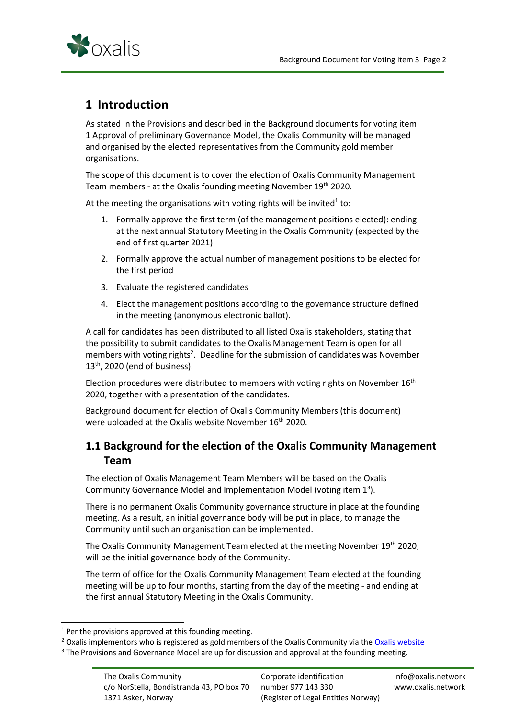

## <span id="page-2-0"></span>**1 Introduction**

As stated in the Provisions and described in the Background documents for voting item 1 Approval of preliminary Governance Model, the Oxalis Community will be managed and organised by the elected representatives from the Community gold member organisations.

The scope of this document is to cover the election of Oxalis Community Management Team members - at the Oxalis founding meeting November 19<sup>th</sup> 2020.

At the meeting the organisations with voting rights will be invited<sup>1</sup> to:

- 1. Formally approve the first term (of the management positions elected): ending at the next annual Statutory Meeting in the Oxalis Community (expected by the end of first quarter 2021)
- 2. Formally approve the actual number of management positions to be elected for the first period
- 3. Evaluate the registered candidates
- 4. Elect the management positions according to the governance structure defined in the meeting (anonymous electronic ballot).

A call for candidates has been distributed to all listed Oxalis stakeholders, stating that the possibility to submit candidates to the Oxalis Management Team is open for all members with voting rights<sup>2</sup>. Deadline for the submission of candidates was November  $13<sup>th</sup>$ , 2020 (end of business).

Election procedures were distributed to members with voting rights on November 16<sup>th</sup> 2020, together with a presentation of the candidates.

Background document for election of Oxalis Community Members (this document) were uploaded at the Oxalis website November 16<sup>th</sup> 2020.

## <span id="page-2-1"></span>**1.1 Background for the election of the Oxalis Community Management Team**

The election of Oxalis Management Team Members will be based on the Oxalis Community Governance Model and Implementation Model (voting item 1<sup>3</sup>).

There is no permanent Oxalis Community governance structure in place at the founding meeting. As a result, an initial governance body will be put in place, to manage the Community until such an organisation can be implemented.

The Oxalis Community Management Team elected at the meeting November 19<sup>th</sup> 2020, will be the initial governance body of the Community.

The term of office for the Oxalis Community Management Team elected at the founding meeting will be up to four months, starting from the day of the meeting - and ending at the first annual Statutory Meeting in the Oxalis Community.

 $1$  Per the provisions approved at this founding meeting.

<sup>&</sup>lt;sup>2</sup> Oxalis implementors who is registered as gold members of the Oxalis Community via the [Oxalis website](https://www.oxalis.network/join)

<sup>&</sup>lt;sup>3</sup> The Provisions and Governance Model are up for discussion and approval at the founding meeting.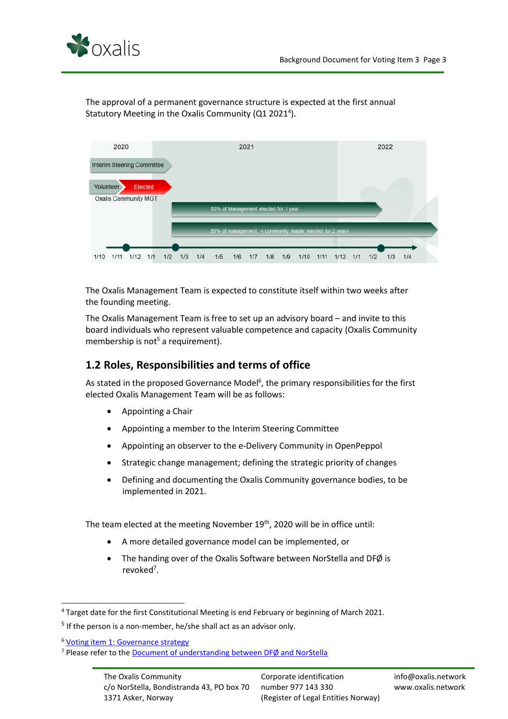

The approval of a permanent governance structure is expected at the first annual Statutory Meeting in the Oxalis Community (Q1 2021<sup>4</sup>).



The Oxalis Management Team is expected to constitute itself within two weeks after the founding meeting.

The Oxalis Management Team is free to set up an advisory board – and invite to this board individuals who represent valuable competence and capacity (Oxalis Community membership is not<sup>5</sup> a requirement).

## <span id="page-3-0"></span>**1.2 Roles, Responsibilities and terms of office**

As stated in the proposed Governance Model<sup>6</sup>, the primary responsibilities for the first elected Oxalis Management Team will be as follows:

- Appointing a Chair
- Appointing a member to the Interim Steering Committee
- Appointing an observer to the e-Delivery Community in OpenPeppol
- Strategic change management; defining the strategic priority of changes
- Defining and documenting the Oxalis Community governance bodies, to be implemented in 2021.

The team elected at the meeting November 19<sup>th</sup>, 2020 will be in office until:

- A more detailed governance model can be implemented, or
- The handing over of the Oxalis Software between NorStella and DFØ is revoked<sup>7</sup>.

<sup>4</sup> Target date for the first Constitutional Meeting is end February or beginning of March 2021.

<sup>&</sup>lt;sup>5</sup> If the person is a non-member, he/she shall act as an advisor only.

<sup>6</sup> [Voting item 1: Governance strategy](https://54e26da9-fbf2-465a-b113-519dff24ebfc.filesusr.com/ugd/7dc7ee_425cc2b3795f40b58176b713dbb30d9c.pdf)

<sup>7</sup> Please refer to the [Document of understanding between DFØ and NorStella](https://54e26da9-fbf2-465a-b113-519dff24ebfc.filesusr.com/ugd/7dc7ee_88cc4183552548d68e8bde2090d5b097.pdf)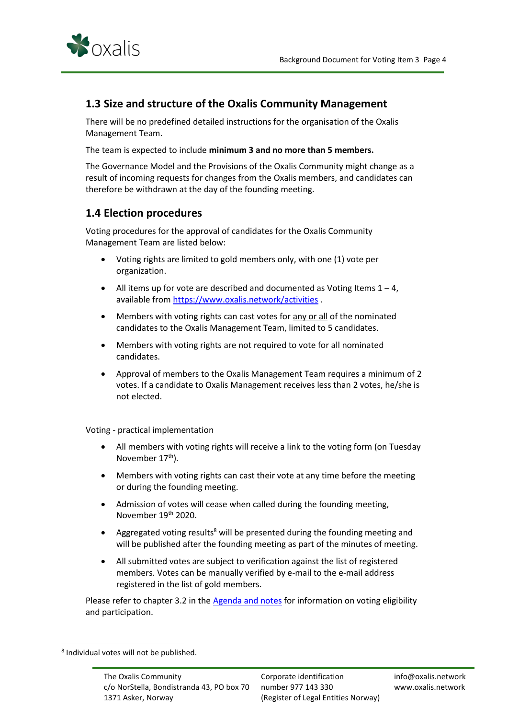

### <span id="page-4-0"></span>**1.3 Size and structure of the Oxalis Community Management**

There will be no predefined detailed instructions for the organisation of the Oxalis Management Team.

The team is expected to include **minimum 3 and no more than 5 members.**

The Governance Model and the Provisions of the Oxalis Community might change as a result of incoming requests for changes from the Oxalis members, and candidates can therefore be withdrawn at the day of the founding meeting.

### <span id="page-4-1"></span>**1.4 Election procedures**

Voting procedures for the approval of candidates for the Oxalis Community Management Team are listed below:

- Voting rights are limited to gold members only, with one (1) vote per organization.
- All items up for vote are described and documented as Voting Items  $1 4$ , available fro[m https://www.oxalis.network/activities](https://www.oxalis.network/activities)
- Members with voting rights can cast votes for any or all of the nominated candidates to the Oxalis Management Team, limited to 5 candidates.
- Members with voting rights are not required to vote for all nominated candidates.
- Approval of members to the Oxalis Management Team requires a minimum of 2 votes. If a candidate to Oxalis Management receives less than 2 votes, he/she is not elected.

Voting - practical implementation

- All members with voting rights will receive a link to the voting form (on Tuesday November 17<sup>th</sup>).
- Members with voting rights can cast their vote at any time before the meeting or during the founding meeting.
- Admission of votes will cease when called during the founding meeting, November 19<sup>th</sup> 2020.
- Aggregated voting results<sup>8</sup> will be presented during the founding meeting and will be published after the founding meeting as part of the minutes of meeting.
- All submitted votes are subject to verification against the list of registered members. Votes can be manually verified by e-mail to the e-mail address registered in the list of gold members.

Please refer to chapter 3.2 in th[e Agenda and notes](https://54e26da9-fbf2-465a-b113-519dff24ebfc.filesusr.com/ugd/7dc7ee_34f907f1fcad4ab09d39bc3f17dcbfbb.pdf) for information on voting eligibility and participation.

<sup>8</sup> Individual votes will not be published.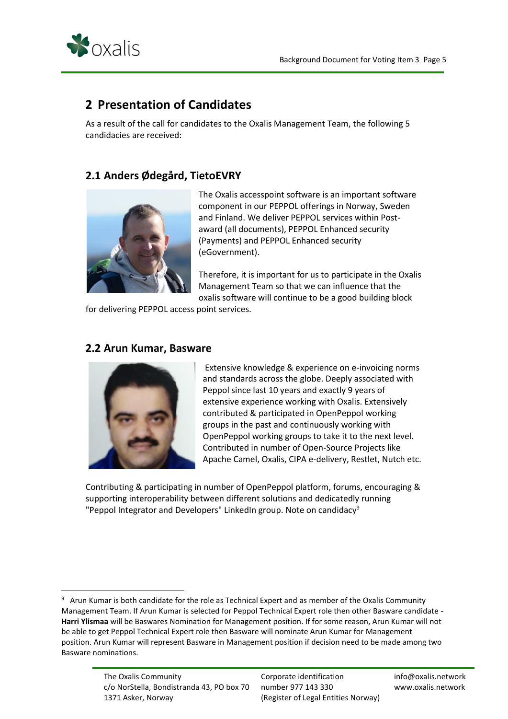

## <span id="page-5-0"></span>**2 Presentation of Candidates**

As a result of the call for candidates to the Oxalis Management Team, the following 5 candidacies are received:

## <span id="page-5-1"></span>**2.1 Anders Ødegård, TietoEVRY**



The Oxalis accesspoint software is an important software component in our PEPPOL offerings in Norway, Sweden and Finland. We deliver PEPPOL services within Postaward (all documents), PEPPOL Enhanced security (Payments) and PEPPOL Enhanced security (eGovernment).

Therefore, it is important for us to participate in the Oxalis Management Team so that we can influence that the oxalis software will continue to be a good building block

for delivering PEPPOL access point services.

#### <span id="page-5-2"></span>**2.2 Arun Kumar, Basware**



Extensive knowledge & experience on e-invoicing norms and standards across the globe. Deeply associated with Peppol since last 10 years and exactly 9 years of extensive experience working with Oxalis. Extensively contributed & participated in OpenPeppol working groups in the past and continuously working with OpenPeppol working groups to take it to the next level. Contributed in number of Open-Source Projects like Apache Camel, Oxalis, CIPA e-delivery, Restlet, Nutch etc.

Contributing & participating in number of OpenPeppol platform, forums, encouraging & supporting interoperability between different solutions and dedicatedly running "Peppol Integrator and Developers" LinkedIn group. Note on candidacy $9$ 

<sup>&</sup>lt;sup>9</sup> Arun Kumar is both candidate for the role as Technical Expert and as member of the Oxalis Community Management Team. If Arun Kumar is selected for Peppol Technical Expert role then other Basware candidate - **Harri Ylismaa** will be Baswares Nomination for Management position. If for some reason, Arun Kumar will not be able to get Peppol Technical Expert role then Basware will nominate Arun Kumar for Management position. Arun Kumar will represent Basware in Management position if decision need to be made among two Basware nominations.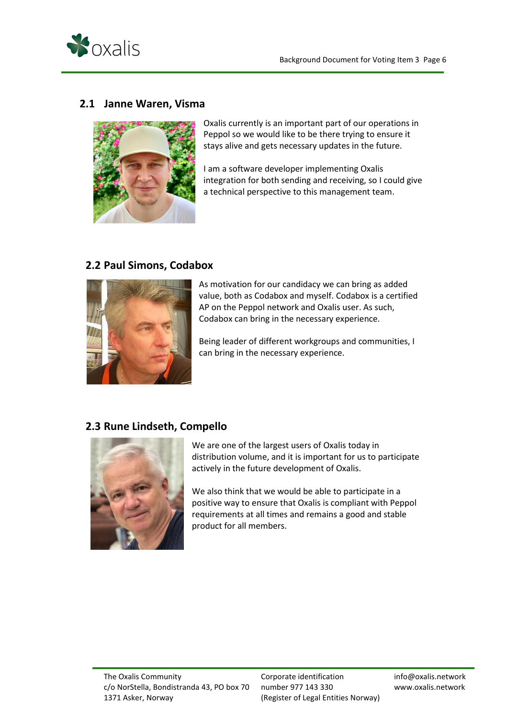

### <span id="page-6-0"></span>**2.1 Janne Waren, Visma**



Oxalis currently is an important part of our operations in Peppol so we would like to be there trying to ensure it stays alive and gets necessary updates in the future.

I am a software developer implementing Oxalis integration for both sending and receiving, so I could give a technical perspective to this management team.

### <span id="page-6-1"></span>**2.2 Paul Simons, Codabox**



As motivation for our candidacy we can bring as added value, both as Codabox and myself. Codabox is a certified AP on the Peppol network and Oxalis user. As such, Codabox can bring in the necessary experience.

Being leader of different workgroups and communities, I can bring in the necessary experience.

## <span id="page-6-2"></span>**2.3 Rune Lindseth, Compello**



We are one of the largest users of Oxalis today in distribution volume, and it is important for us to participate actively in the future development of Oxalis.

We also think that we would be able to participate in a positive way to ensure that Oxalis is compliant with Peppol requirements at all times and remains a good and stable product for all members.